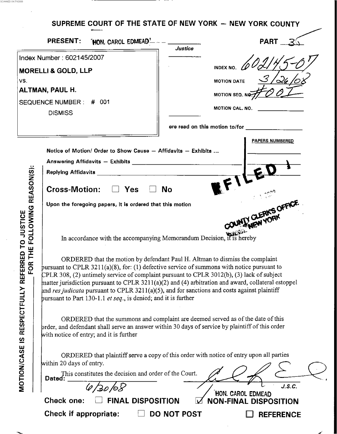# SUPREME COURT OF THE STATE OF NEW YORK - NEW YORK COUNTY

.- . .. .. SCANNED ON <sup>71112008</sup>

|                                                                                                                                   | <b>PRESENT:</b>                                                                                                                                                                                                                                                                                                                                                                                                                                                                                                                                                                                                                                                                                                                                                                                                                                                                                                                                                                                                                                                                                                                                                                                                                                                                                              | <b>HON. CAROL EDMEAD!</b> |             |                                                                                        | <b>PART</b>      |  |
|-----------------------------------------------------------------------------------------------------------------------------------|--------------------------------------------------------------------------------------------------------------------------------------------------------------------------------------------------------------------------------------------------------------------------------------------------------------------------------------------------------------------------------------------------------------------------------------------------------------------------------------------------------------------------------------------------------------------------------------------------------------------------------------------------------------------------------------------------------------------------------------------------------------------------------------------------------------------------------------------------------------------------------------------------------------------------------------------------------------------------------------------------------------------------------------------------------------------------------------------------------------------------------------------------------------------------------------------------------------------------------------------------------------------------------------------------------------|---------------------------|-------------|----------------------------------------------------------------------------------------|------------------|--|
| Index Number: 602145/2007<br><b>MORELLI &amp; GOLD, LLP</b><br>VS.<br>ALTMAN, PAUL H.<br>SEQUENCE NUMBER: # 001<br><b>DISMISS</b> |                                                                                                                                                                                                                                                                                                                                                                                                                                                                                                                                                                                                                                                                                                                                                                                                                                                                                                                                                                                                                                                                                                                                                                                                                                                                                                              |                           |             | Justice<br><b>INDEX NO.</b><br><b>MOTION DATE</b><br>MOTION SEQ. NO<br>MOTION CAL. NO. |                  |  |
| FOR THE FOLLOWING REASON(S):<br>RESPECTFULLY REFERRED TO JUSTICE<br>$\overline{\mathbf{z}}$<br><b>MOTION/CASE</b>                 | <b>PAPERS NUMBERED</b><br>Notice of Motion/ Order to Show Cause - Affidavits - Exhibits<br><b>Cross-Motion:</b><br>Yes<br>No<br><b>MIX CLERK'S OFFICE</b><br>Upon the foregoing papers, it is ordered that this motion<br><b>NEW YORK</b><br>In accordance with the accompanying Memorandum Decision, it is hereby<br>ORDERED that the motion by defendant Paul H. Altman to dismiss the complaint<br>pursuant to CPLR $3211(a)(8)$ , for: (1) defective service of summons with notice pursuant to<br>CPLR 308, (2) untimely service of complaint pursuant to CPLR 3012(b), (3) lack of subject<br>matter jurisdiction pursuant to CPLR $3211(a)(2)$ and (4) arbitration and award, collateral estoppel<br>and res judicata pursuant to CPLR 3211(a)(5), and for sanctions and costs against plaintiff<br>pursuant to Part 130-1.1 <i>et seq.</i> , is denied; and it is further<br>ORDERED that the summons and complaint are deemed served as of the date of this<br>prder, and defendant shall serve an answer within 30 days of service by plaintiff of this order<br>with notice of entry; and it is further<br>ORDERED that plaintiff serve a copy of this order with notice of entry upon all parties<br>within 20 days of entry.<br>This constitutes the decision and order of the Court.<br>Dated: |                           |             |                                                                                        |                  |  |
|                                                                                                                                   | 4/30/08<br>HON. CAROL EDMEAD<br><b>FINAL DISPOSITION</b><br>Check one:<br><b>NON-FINAL DISPOSITION</b>                                                                                                                                                                                                                                                                                                                                                                                                                                                                                                                                                                                                                                                                                                                                                                                                                                                                                                                                                                                                                                                                                                                                                                                                       |                           |             |                                                                                        |                  |  |
|                                                                                                                                   | <b>Check if appropriate:</b>                                                                                                                                                                                                                                                                                                                                                                                                                                                                                                                                                                                                                                                                                                                                                                                                                                                                                                                                                                                                                                                                                                                                                                                                                                                                                 |                           | DO NOT POST |                                                                                        | <b>REFERENCE</b> |  |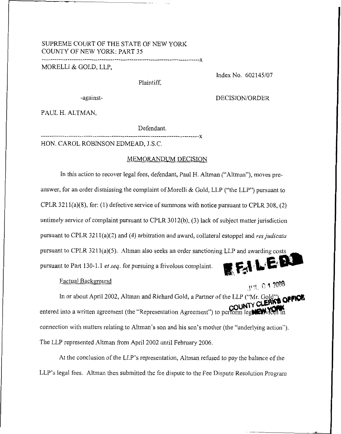# SUPREME COURT OF THE STATE OF NEW YORK COUNTY OF NEW YORK: PART 35

## MORELLI & GOLD, LLP.

Plaintiff,

Index No. 602145/07

-against-

DECISION/ORDER

PAUL H. ALTMAN,

Defendant.

. . . . . . . . . . . . . . . . X HON. CAROL ROBINSON EDMEAD, J.S.C.

## MEMORANDUM DECISION

In this action to recover legal fees, defendant, Paul H. Altman ("Altman"), moves preanswer, for an order dismissing the complaint of Morelli & Gold, LLP ("the LLP") pursuant to CPLR 3211(a)(8), for: (1) defective service of summons with notice pursuant to CPLR 308, (2) untimely service of complaint pursuant to CPLR 301 2(b), (3) **lack** of subject matter jurisdiction pursuant to CPLR 3211(a)(2) and (4) arbitration and award, collateral estoppel and *res judicata* pursuant to CPLR 3211(a)(5). Altman also seeks an order sanctioning LLP and awarding costs EFILE pursuant to Part 130-1.1 *et* sey. for pursuing a frivolous complaint.

#### Factual Background

JUL 0 1 2008

In or about April 2002, Altman and Richard Gold, a Partner of the LLP ("Mr. Gold entered into a written agreement (the "Representation Agreement") to perform legal CW connection with matters relating to Altman's son and his son's mother (the "underlying action"). The LLP represented Altman from April 2002 until February 2006.

At the conclusion of the LLP's representation, Altman refused *to* pay the balance of the LLP's legal fees. Altman then submitted the fee dispute to the Fee Dispute Resolution Program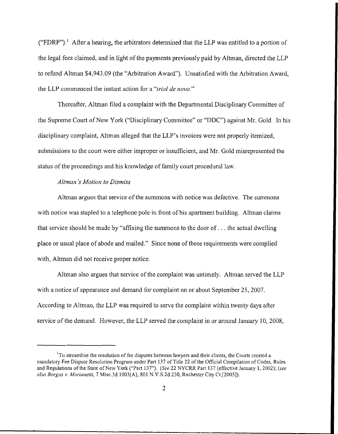("FDRP").<sup>1</sup> After a hearing, the arbitrators determined that the LLP was entitled to a portion of the legal fees claimed, and in light of the payments previously paid by Altman, directed the LLP to refund Altman \$4,943.09 (the "Arbitration Award"). Unsatisfied with the Arbitration Award, the LLP commenced the instant action for a *"trial de novo."* 

Thereafter, Altman filed a complaint with the Departmental Disciplinary Committee of the Supreme Court of New York ("Disciplinary Committee" or "DDC") against Mr. Gold. In his disciplinary complaint, Altman alleged that the LLP's invoices were not properly itemized, submissions to the court were either improper or insufficient, and Mr. Gold misrepresented the status of the proceedings and his knowledge of faniily court procedural law.

## *Altman's Motion to Dismiss*

Altman argues that service of the summons with notice was defective. The sunimons with notice was stapled to a telephone pole in front of his apartment building. Altman claims that service should be made by "affixing the summons to the door of... the actual dwelling place or usual place of abode and mailed." Since none of these requirements were complied with, Altman did not receive proper notice.

Altman also argues that service of the complaint was untimely. Altman served the LLP with a notice of appearance and demand for complaint on or about September 25, 2007. According to Altman, the LLP was required to serve the complaint within twenty days after service of the demand. However, the LLP served the complaint in or around January 10, 2008,

 $1$ To streamline the resolution of fee disputes between lawyers and their clients, the Courts created a nundatory Fee Dispute Resolutioii Program under Part 137 of Title 22 of the Official Coinpilation of Codes, **Rules**  and Regulations of the State of New **York ("Pait** 137"). *(See* **22** NYCRR Pait 137 (effective January 1, 2002); (see **~ZJO** *Borgus v. Mmimetti,* 7 Misc.3d 1003(A), 801 N.Y.S.2d 230, Rochester City Ct,[2005]).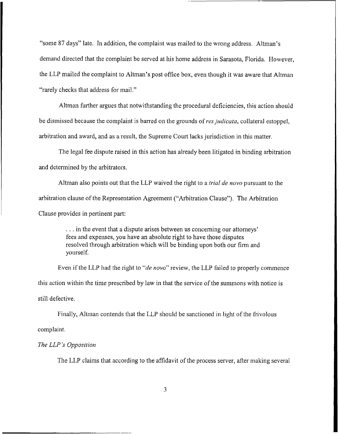"some 87 days" late. In addition, the complaint was mailed to the wrong address. Altman's demand directed that the complaint be served at his home address in Sarasota, Florida. However, the LLP mailed the complaint to Altman's post office box, even though it was aware that Altman "rarely checks that address for mail."

Altman further argues that notwithstanding the procedural deficiencies, this action should be dismissed because the complaint is barred on the grounds of *res judicata*, collateral estoppel, arbitration and award, and as a result, the Supreme Court lacks jurisdiction in this matter.

The legal fee dispute raised in this action has already been litigated in binding arbitration and determined by the arbitrators.

Altman also points out that the LLP waived the right to a *trial de novo* pursuant to the arbitration clause of the Representation Agreement ("Arbitration Clause"). The Arbitration Clause provides in pertinent part:

> . . . in the event that a dispute arises between us concerning our attorneys' fees and expenses, you have an absolute right to have those disputes resolved through arbitration which will be binding upon both our firm and yourself.

Even if the LLP had the right to "*de novo*" review, the LLP failed to properly commence this action within the time prescribed by law in that the service of the summons with notice is still defective.

Finally, Allman contends that the LLP should be sanctioned in light of the frivolous complaint.

#### *The LLP* **'s** *Opposition*

The LLP claims that according to the affidavit of the process server, after making several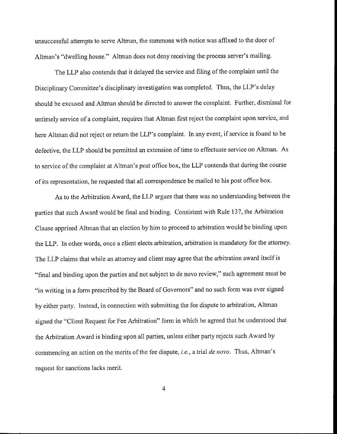unsuccessful attempts to serve Altman, the summons with notice was affixed to the door of Altman's "dwelling house." Altman does not deny receiving the process server's mailing.

The LLP also contends that it delayed the service and filing of the complaint until the Disciplinary Committee's disciplinary investigation was completed. Thus, the LLP's delay should be excused and Altman should be directed to answer the complaint. Further, dismissal for untimely service of a complaint, requires that Altman first reject the complaint upon service, and here Altman did not reject or return the LLP's complaint. In any event, if service is found to be defective, the LLP should be permitted an extension of time to effectuate service on Altman. As to service of the complaint at Altman's post office box, the LLP contends that during the course of its representation, he requested that all correspondence be mailed to his post office box.

As to the Arbitration Award, the LLP argues that there was no understanding between the parties that such Award would be final and binding. Consistent with Rule 137, the Arbitration Clause apprised Altrnan that an election by him to proceed to arbitration would be binding upon the LLP. In other words, once a client elects arbitration, arbitration is mandatory for the attorney. The LLP claims that while an attorney and client may agree that the arbitration award itself is "final and binding upon the parties and not subject to de novo review," such agreement must be "in writing in a form prescribed by the Board of Governors" and no such form was ever signed by either party. Instead, in connection with submitting the fee dispute to arbitration, Altman signed the "Client Request for Fee Arbitration" form in which he agreed that he understood that the Arbitration Award is binding upon all parties, unless either party rejects such Award by commencing an action on the merits of the fee dispute, *i.e.*, a trial *de novo.* Thus, Altman's request for sanctions lacks merit.

**4**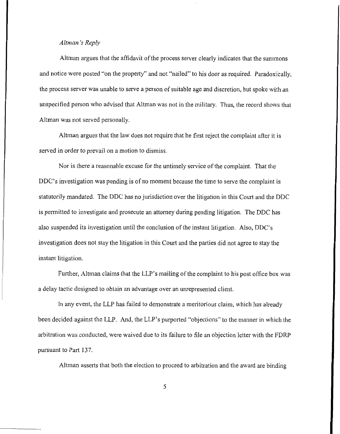#### *Altniaiz* 's *Reply*

Altman argues that the affidavit of the process server clearly indicates that the summons and notice were posted "on the property" and not "nailed" to his door as required. Paradoxically, the process server was unable to serve a person of suitable age and discretion, but spoke with an unspecified person who advised that Altman was not in the military. Thus, the record shows that Altman was not served personally.

Altman argues that the law does not require that he first reject the complaint after it is served in order to prevail on a motion to dismiss.

Nor is there a reasonable excuse for the untimely service of the complaint. That the DDC's investigation was pending is of no moment because the time to serve the complaint is statutorily mandated. The DDC has no jurisdiction over the litigation in this Court and the DDC is permitted to investigate and prosecute an attorney during pending litigation. The DDC has also suspended its investigation until the conclusion of the instant litigation. Also, DDC's investigation does not stay the litigation in this Court and the parties did not agree to stay the instant litigation.

Further, Altman claims that the LLP's mailing of the complaint to his post office box was a delay tactic designed to obtain an advantage over an unrepresented client.

In any event, the LLP has failed to demonstrate **a** meritorious claim, which has already been decided against the LLP. And, the LLP's purported "objections" to the manner in which the arbitration was conducted, were waived due to its failure to file an objection letter with the FDRP pursuant to Part 137.

Altman asserts that both the election to proceed to arbitration and the award are binding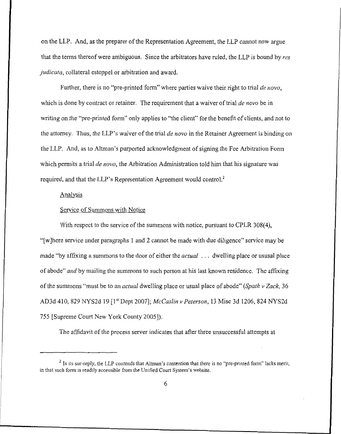on the LLP. And, as the preparer of the Representation Agreement, the LLP cannot now argue that the terms thereof were ambiguous. Since the arbitrators have ruled, the LLP is bound by *res judicata,* collateral estoppel or arbitration and award.

Further, there is no "pre-printed form" where parties waive their right to trial *de novo*. which is done by contract or retainer. The requirement that a waiver of trial *de novo* be in writing on the "pre-printed form" only applies to "the client" for the benefit of clients, and not to the attorney. Thus, the LLP's waiver of the trial *de novo* in the Retainer Agreement is binding 011 the LLP. And, as to Altman's purported acknowledgment of signing the Fee Arbitration Fonn which permits a trial *de nova,* the Arbitration Administration told him that his signature was required, and that the LLP's Representation Agreement would control.'

## Analysis

## Service of Summons with Notice

With respect to the service of the summons with notice, pursuant to CPLR 308(4), "[wlhere service under paragraphs 1 and 2 cannot be made with due diligence" service may be made "by affixing a summons to the door of either the *accual* , . . dwelling place or ususal place of abode" *arid* by mailing the summons to such person at his last known residence. The affixing of the summons "must be to an *actual* dwelling place or usual place of abode" *(Spath v Zack, 36*) AD3d 410, **829** NYS2d 19 [ 1'' Dept 20071; *McCusZin* v *Peterson,* 13 Misc 3d 1206, **824** NYS2d 755 [Supreme Court New York County 20051).

The affidavit of the process server indicates that after three unsuccessful attempts at

<sup>&</sup>lt;sup>2</sup> In its sur-reply, the LLP contends that Altman's contention that there is no "pre-printed form" lacks merit, in that such fomi is readily accessible from the Unified Court System's wcbsite.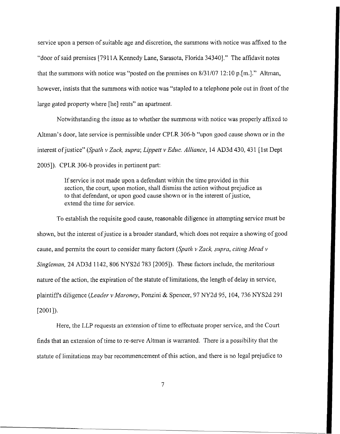service upon a person of suitable age and discretion, the summons with notice was affixed to the "door of said premises [7911A Keimedy Lane, Sarasota, Florida 343401." The affidavit notes that the summons with notice was "posted on the premises on  $8/31/07$  12:10 p. [m.]." Altman, however, insists that the summons with notice was "stapled to a telephone pole out in front of the large gated property where [he] rents" an apartment.

Notwithstanding the issue as to whether the summons with notice was properly affixed to Altman's door, late service is permissible under CPLR 306-b "upon good cause shown or in the interest ofjustice" *(Spath* v *Zuck, supra; Lippett* v *Educ. Alliance,* 14 **AD3d** 430, 431 [lst Dept 2005]). CPLR 306-b provides in pertinent part:

> If service is not made upon a defendant within the time provided in this section, the court, upon motion, shall dismiss the action without prejudice as to that defendant, or upon good cause shown or in the interest of justice, extend the time for service.

To establish the requisite good cause, reasonable diligence in attempting service must be shown, but the interest of justice is a broader standard, which does not require a showing of good cause, and permits the court to consider many factors *(Spath v Zack, supra, citing Mead v Singleman,* 24 AD3d 1142, 806 NYS2d 783 [2005]). These factors include, the meritorious nature of the action, the expiration of the statute of limitations, the length of delay in service, plaintiffs diligence *(Leader* v *Muroney,* Ponzini & Spencer, 97 NY2d 95, 104, 736 NYS2d 291  $[2001]$ ).

Here, the LLP requests an extension of time to effectuate proper service, and the Court finds that an extension of time to re-serve Altman is warranted. There is a possibility that the statute of limitations may bar recommencement of this action, and there is no legal prejudice to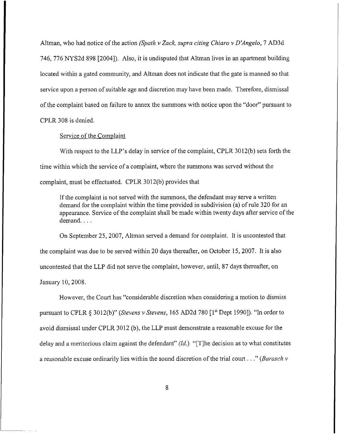Altman, who had notice of tlie action *(Spnth v Zuck, supra citing Chiaro v D'Angelo,* 7 AD3d 746, 776 NYS2d 898 [2004]). Also, it is undisputed that Altman lives in an apartment building located within a gated community, and Altman does not indicate that the gate is manned so that service upon **a** person of suitable age and discretion may have been made. Therefore, dismissal of the complaint based on failure to annex the summons with notice upon the "door" pursuant to CPLR 308 is denied.

#### Service of the Complaint

With respect to the LLP's delay in service of the complaint, CPLR 3012(b) sets forth the time within which the service of a complaint, where the summons was served without the complaint, must be effectuated. CPLR 3012(b) provides that

If the complaint is not served with the summons, the defendant may serve **a** written demand for the complaint within the time provided in subdivision (a) of rule 320 for an appearance. Service of the complaint shall be made within twenty days after service of the demand....

On September 25, 2007, Altman served a demand for complaint. It is uncontested that the complaint was due to be served within 20 days thereafter, on October 15,2007. It is also uncontested that the LLP did not serve the complaint, however, until, 87 days thereafter, on January 10,2008.

However, the Court has "considerable discretion when considering a motion to dismiss pursuant to CPLR **4** 3012(b)" *(Stevens* v *Stevens,* 165 **AD2d** *780* [ **lst** Dept 19901). "Ln order to avoid dismissal under CPLR 3012 (b), the LLP must demonstrate a reasonable excuse for the delay and a meritorious claim against the defendant" *(Id.)* "[Tlhe decision as to what constitutes a reasonable excuse ordinarily lies within the sound discretion of the trial couit . . ." *(Barasch <sup>v</sup>*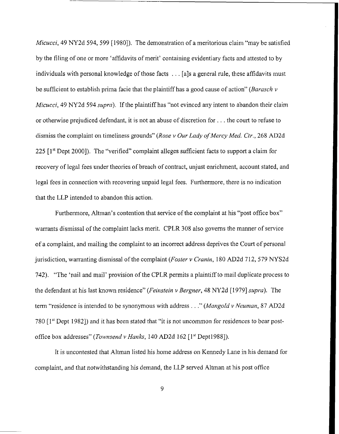*Micucci,* 49 NY2d 594, 599 [1980]). The demonstration of a meritorious claim "may be satisfied by the filing of one or more 'affidavits of merit' containing evidentiary facts and attested to by individuals with personal knowledge of those facts . . . [a]s a general rule, these affidavits must be sufficient to establish prima facie that the plaintiff has a good cause of action" *(Barasch v Micucci*, 49 NY2d 594 *supra*). If the plaintiff has "not evinced any intent to abandon their claim or otherwise prejudiced defendant, it is not an abuse of discretion for  $\dots$  the court to refuse to dismiss the complaint on timeliness grounds" (Rose v Our Lady of Mercy Med. Ctr., 268 AD2d 225 [1<sup>st</sup> Dept 2000]). The "verified" complaint alleges sufficient facts to support a claim for recovery of legal fees under theories of breach of contract, unjust enrichment, account stated, and legal fees in connection with recovering unpaid legal fees. Furthermore, there is no indication that the LLP intended to abandon this action.

Furthermore, Altman's contention that service of the complaint at his "post office box" warrants dismissal of the complaint lacks merit. CPLR 308 also governs the manner of service of a complaint, and mailing the complaint to an incorrect address deprives the Court of personal jurisdiction, warranting dismissal of the complaint *(Fosler v Cranin,* 180 AD2d 712, 579 NYS2d 742). "The 'nail and mail' provision of the CPLR permits a plaintiff to mail duplicate process to the defendant at his last known residence" *(Feinstein* v *Bergner,* 48 NY2d [ 19791 *mpra).* The term "residence is intended to be synonymous with address . . ," *(Mangold* v *Neunzan,* **97** AD2d 780  $[1<sup>st</sup>$  Dept 1982]) and it has been stated that "it is not uncommon for residences to bear postoffice box addresses" *(Townsend v Hanks,* 140 AD2d 162 [1<sup>st</sup> Dept1988]).

It is uncontested that Altman listed his home address on Kennedy Lane in his demand for complaint, and that notwithstanding his demand, the LLP served Altman at his post office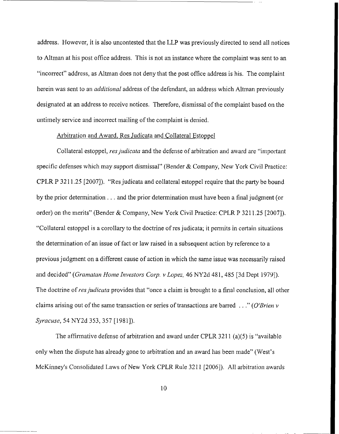address. However, it is also uncontested that the LLP was previously directed to send all notices to Altman at his post office address. This is not an instance where the complaint was sent to an "incorrect" address, as Altman does not deny that the post office address is his. The complaint herein was sent to an *additional* address of the defendant, an address which Altinan previously designated at an address to receive notices. Therefore, dismissal of the complaint based on the untimely service and incorrect mailing of the complaint is denied.

## Arbitration and Award, Res Judicata and Collateral Estoppel

Collateral estoppel, *res judicata* and the defense of arbitration and award are "important specific defenses which may support dismissal" (Bender & Company, New York Civil Practice: CPLR P **321** 1.25 [2007]). "Res judicata and collateral estoppel require that the party be bound by the prior determination . . . and the prior determination must have been a final judgment (or order) on the merits" (Bender & Company, New York Civil Practice: CPLR P 321 1.25 [2007]). "Collateral estoppel is a corollary to the doctrine of res judicata; it permits in certain situations the determination of an issue of fact or law raised in a subsequent action by reference to a previous judgment on a different cause of action in which the same issue was necessarily raised and decided" (Gramatan Home Investors Corp. v Lopez, 46 NY2d 481, 485 [3d Dept 1979]). The doctrine of *res judicata* provides that "once a claim is brought to a final conclusion, all other claims arising out of the same transaction or series of transactions are barred . . ." *(O'Brien v Symcme,* 54 NY2d 353,357 [1981]).

The affirmative defense of arbitration and award under CPLR 3211 (a)(5) is "available only when the dispute has already gone to arbitration and an award has been made" (West's McKinney's Consolidated Laws of New York CPLR Rule 3211 [2006]). All arbitration awards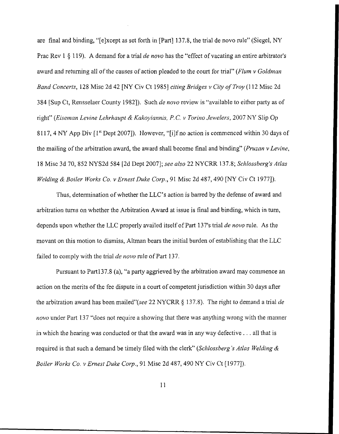are final and binding, "[elxcept as set forth in [Part] 137.8, the trial de novo rule" (Siegel, *NY*  Prac Rev 1 § 119). **A** demand for a trial *de novo* has the "effect of vacating an entire arbitrator's award and returning all of the causes of action pleaded to the court for trial" *(Flum v Goldman Band Concerts,* 128 Misc 2d 42 *[NY* Civ Ct 19851 *citing Bridges v City of Troy* (I 12 Misc 2d **384** [Sup Ct, Rensselaer County 19821). Such *de novo* review is "available to either party as of right" *(Eiseman Levine Lehrhaupt & Kakoyiannis, P.C. v Torino Jewelers, 2007 NY Slip Op* 81 17, 4 *NY* App Div [ 1'' Dept 20071). However, "[ilf no action is commenced within 30 days of the mailing of the arbitration award, the award shall become final and binding" (Pruzan v Levine, 18 Misc 3d 70, 852 NYS2d 584 [2d Dept 20071; *see also* 22 NYCRR 137.8; *Sclilossberg's Atlas Welding & Boiler Works Co. v Ernest Duke Corp., 91 Misc 2d 487, 490 <i>[NY Civ Ct 1977]*).

Thus, determination of whether the LLC's action is barred by the defense of award and arbitration turns on whether the Arbitration Award at issue is final and binding, which in turn, depends upon whether the LLC properly availed itself of Part 137's trial *de mvo* rule. As the movant on this motion to dismiss, Altman bears the initial burden of establishing that the LLC failed to comply with the tiial *de novo* rule of Part 137.

Pursuant to Part137.8 (a), "a party aggrieved by the arbitration award may commence an action on the merits of the fee dispute in a court of competent jurisdiction within 30 days after the arbitration award has been mailed"(see 22 NYCRR **8** 137.8). The right to deinand a trial *de novo* under Part 137 "does not require a showing that there was anything wrong with the manner in which the hearing was conducted or that the award was in any way defective . . . all that is required is that such a demand be timely filed with the clerk" *(Schlossberg* 's *Atlas Welding* & *Boiler Works Co. v Ernest Duke Corp.,* 91 Misc 2d 487,490 *NY* Civ Ct [ 19771).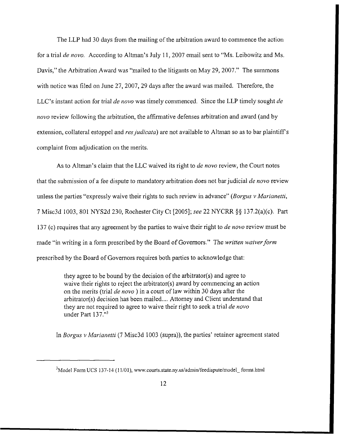The LLP had 30 days from the mailing of the arbitration award to commence the action for a trial *de novo.* According to Altman's July 11, 2007 email sent to "Ms. Leibowitz and Ms. Davis," the Arbitration Award was "mailed to the litigants on May 29, 2007." The summons with notice was filed on June 27, 2007, 29 days after the award was mailed. Therefore, the LLC's instant action for trial *de novo* was timely commenced. Since the LLP timely sought *de novo* review following the arbitration, the affirmative defenses arbitration and award (and by extension, collateral estoppel and *res judicata*) are not available to Altman so as to bar plaintiff's complaint from adjudication on the merits.

**As** to Altman's claim that the LLC waived its right to *de novo* review, the Court notes that the submission of a fee dispute to mandatory arbitration does not bar judicial *de novo* review unless the parties "expressly waive their rights to such review in advance" *(Borgus v Marianetti, 7* Misc3d 1003, 801 NYS2d 230, Rochester City Ct [2005]; *see* 22 NYCRR §§ 137.2(a)(c). Part 137 (c) requires that any agreement by the parties to waive their right to *de novo* review must be made "in writing in a form prescribed by the Board of Governors." The *written waiver form*  prescribed by the Board of Governors requires both parties to acknowledge that:

> they agree to be bound by the decision of the arbitrator(s) and agree to waive their rights to reject the arbitrator(s) award by commencing an action on the merits (trial *de novo*) in a court of law within 30 days after the arbitrator(s) decision has been mailed.... Attorney and Client understand that they are not required to agree to waive their right to seek a trial *de novo*  under Part 137."'

Ln *Borgzis* v *Marianetti* (7 Misc3d 1003 (supra)), the parties' retainer agreement stated

<sup>&</sup>lt;sup>3</sup>Model Form UCS 137-14 (11/01), www.courts.state.ny.us/admin/feedispute/model forms.html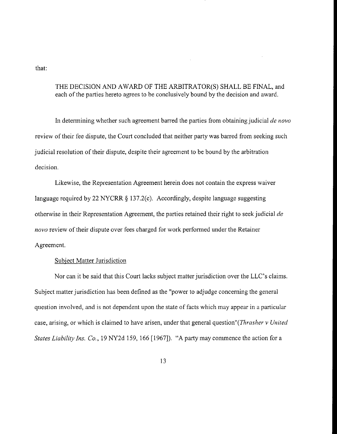that:

## THE DECISION AND AWARD OF THE ARBITRATOR(S) SHALL BE FNAL, and each of the parties hereto agrees to be conclusively bound by the decision and award.

In determining whether such agreement barred the parties from obtaining judicial *de novo* review of their fee dispute, the Court concluded that neither party was barred from seeking such judicial resolution of their dispute, despite their agreement to be bound by the arbitration decision.

Likewise, the Representation Agreement herein does not contain the express waiver language required by 22 NYCRR § 137.2(c). Accordingly, despite language suggesting otherwise in their Representation Agreement, the parties retained their right to seek judicial *de novo* review of their dispute over fees charged for work performed under the Retainer Agreement.

## Subject Matter Jurisdiction

Nor can it be said that this Court lacks subject matter jurisdiction over the LLC's claims. Subject matter jurisdiction has been defined as the "power to adjudge concerning the general question involved, and is not dependent upon the state of facts which may appear in a particular case, arising, or which is claimed to have arisen, under that general question"(*Thrasher v United States Liability Ins. Co.*, 19 NY2d 159, 166 [1967]). "A party may commence the action for a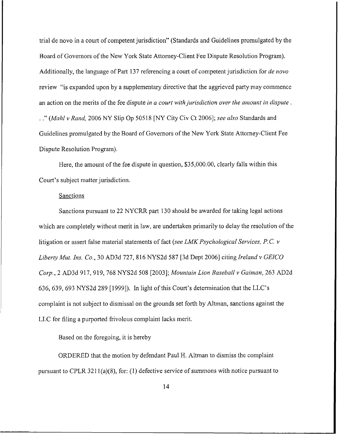trial de novo in a court of competent jurisdiction" (Standards and Guidelines promulgated by the Board of Governors of the New York State Attorney-Client Fee Dispute Resolution Program). Additionally, the language of Part 137 referencing a court of competent jurisdiction for *de novo* review "is expanded upon by a supplementary directive that the aggrieved party may commence an action on the merits of the fee dispute *in a court with jurisdiction over the amount in dispute*. . ." *(Mahl v Rand,* 2006 NY Slip Op 505 18 *[NY* City Civ Ct 20061; *see also* Standards and Guidelines promulgated by the Board of Governors of the New York State Attorney-Client Fee Dispute Resolution Proyram).

Here, the amount of the fee dispute in question, \$35,000.00, clearly falls within this Court's subject matter jurisdiction.

## Sanctions

Sanctions pursuant to 22 NYCRR part 130 should be awarded for taking legal actions which are completely without merit in law, are undertaken primarily to delay the resolution of the litiyation or assert false material statements of fact (see *LMK Psychological Services, P. C. v Liberty Mut. Ins. Co.,* 30 AD3d 727, 816 NYS2d 587 [3d Dept 20061 citing *Ireland v GElCO Corp.,* 2 AD3d 917,919, 768 NYS2d 508 [2003]; *Mountuin Lion Baseball v Guiinan,* 263 AD2d 636, 639, 693 NYS2d 289 [ 19991). In light of this Court's determination that the LLC's complaint is not subject to dismissal on the grounds set forth by Altman, sanctions against the LLC for filing a purported frivolous complaint lacks merit.

Based on the foregoing, it is hereby

ORDERED that the motion by defendant Paul H. Altman to dismiss the complaint pursuant to CPLR  $3211(a)(8)$ , for: (1) defective service of summons with notice pursuant to